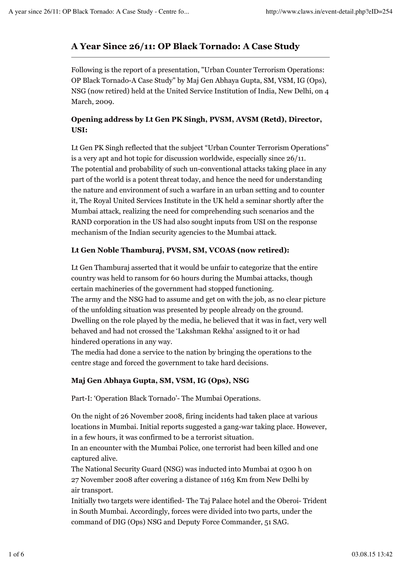# **A Year Since 26/11: OP Black Tornado: A Case Study**

Following is the report of a presentation, "Urban Counter Terrorism Operations: OP Black Tornado-A Case Study" by Maj Gen Abhaya Gupta, SM, VSM, IG (Ops), NSG (now retired) held at the United Service Institution of India, New Delhi, on 4 March, 2009.

## **Opening address by Lt Gen PK Singh, PVSM, AVSM (Retd), Director, USI:**

Lt Gen PK Singh reflected that the subject "Urban Counter Terrorism Operations" is a very apt and hot topic for discussion worldwide, especially since 26/11. The potential and probability of such un-conventional attacks taking place in any part of the world is a potent threat today, and hence the need for understanding the nature and environment of such a warfare in an urban setting and to counter it, The Royal United Services Institute in the UK held a seminar shortly after the Mumbai attack, realizing the need for comprehending such scenarios and the RAND corporation in the US had also sought inputs from USI on the response mechanism of the Indian security agencies to the Mumbai attack.

## **Lt Gen Noble Thamburaj, PVSM, SM, VCOAS (now retired):**

Lt Gen Thamburaj asserted that it would be unfair to categorize that the entire country was held to ransom for 60 hours during the Mumbai attacks, though certain machineries of the government had stopped functioning. The army and the NSG had to assume and get on with the job, as no clear picture of the unfolding situation was presented by people already on the ground. Dwelling on the role played by the media, he believed that it was in fact, very well behaved and had not crossed the 'Lakshman Rekha' assigned to it or had hindered operations in any way.

The media had done a service to the nation by bringing the operations to the centre stage and forced the government to take hard decisions.

## **Maj Gen Abhaya Gupta, SM, VSM, IG (Ops), NSG**

Part-I: 'Operation Black Tornado'- The Mumbai Operations.

On the night of 26 November 2008, firing incidents had taken place at various locations in Mumbai. Initial reports suggested a gang-war taking place. However, in a few hours, it was confirmed to be a terrorist situation.

In an encounter with the Mumbai Police, one terrorist had been killed and one captured alive.

The National Security Guard (NSG) was inducted into Mumbai at 0300 h on 27 November 2008 after covering a distance of 1163 Km from New Delhi by air transport.

Initially two targets were identified- The Taj Palace hotel and the Oberoi- Trident in South Mumbai. Accordingly, forces were divided into two parts, under the command of DIG (Ops) NSG and Deputy Force Commander, 51 SAG.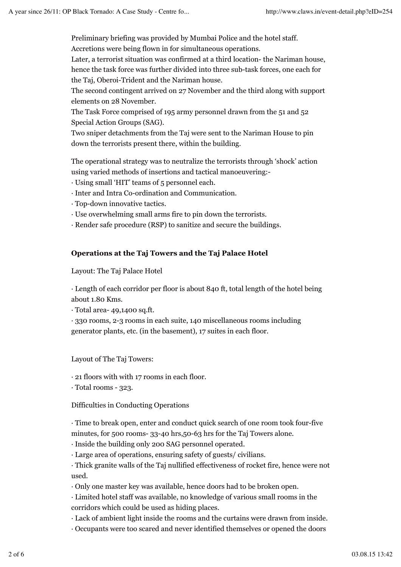Preliminary briefing was provided by Mumbai Police and the hotel staff.

Accretions were being flown in for simultaneous operations.

Later, a terrorist situation was confirmed at a third location- the Nariman house,

hence the task force was further divided into three sub-task forces, one each for the Taj, Oberoi-Trident and the Nariman house.

The second contingent arrived on 27 November and the third along with support elements on 28 November.

The Task Force comprised of 195 army personnel drawn from the 51 and 52 Special Action Groups (SAG).

Two sniper detachments from the Taj were sent to the Nariman House to pin down the terrorists present there, within the building.

The operational strategy was to neutralize the terrorists through 'shock' action using varied methods of insertions and tactical manoeuvering:-

- · Using small 'HIT' teams of 5 personnel each.
- · Inter and Intra Co-ordination and Communication.
- · Top-down innovative tactics.
- · Use overwhelming small arms fire to pin down the terrorists.
- · Render safe procedure (RSP) to sanitize and secure the buildings.

#### **Operations at the Taj Towers and the Taj Palace Hotel**

Layout: The Taj Palace Hotel

· Length of each corridor per floor is about 840 ft, total length of the hotel being about 1.80 Kms.

· Total area- 49,1400 sq.ft.

· 330 rooms, 2-3 rooms in each suite, 140 miscellaneous rooms including generator plants, etc. (in the basement), 17 suites in each floor.

Layout of The Taj Towers:

· 21 floors with with 17 rooms in each floor.

· Total rooms - 323.

Difficulties in Conducting Operations

· Time to break open, enter and conduct quick search of one room took four-five minutes, for 500 rooms- 33-40 hrs,50-63 hrs for the Taj Towers alone.

· Inside the building only 200 SAG personnel operated.

· Large area of operations, ensuring safety of guests/ civilians.

· Thick granite walls of the Taj nullified effectiveness of rocket fire, hence were not used.

· Only one master key was available, hence doors had to be broken open.

· Limited hotel staff was available, no knowledge of various small rooms in the corridors which could be used as hiding places.

- · Lack of ambient light inside the rooms and the curtains were drawn from inside.
- · Occupants were too scared and never identified themselves or opened the doors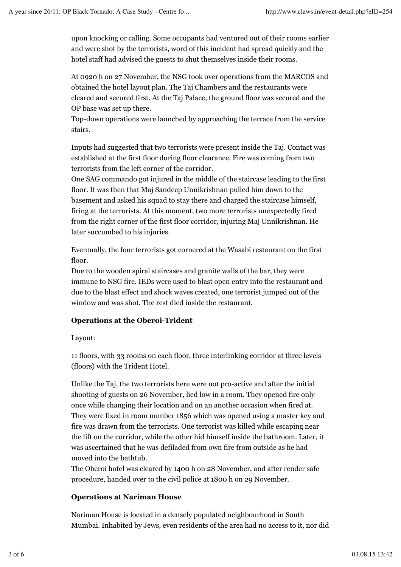upon knocking or calling. Some occupants had ventured out of their rooms earlier and were shot by the terrorists, word of this incident had spread quickly and the hotel staff had advised the guests to shut themselves inside their rooms.

At 0920 h on 27 November, the NSG took over operations from the MARCOS and obtained the hotel layout plan. The Taj Chambers and the restaurants were cleared and secured first. At the Taj Palace, the ground floor was secured and the OP base was set up there.

Top-down operations were launched by approaching the terrace from the service stairs.

Inputs had suggested that two terrorists were present inside the Taj. Contact was established at the first floor during floor clearance. Fire was coming from two terrorists from the left corner of the corridor.

One SAG commando got injured in the middle of the staircase leading to the first floor. It was then that Maj Sandeep Unnikrishnan pulled him down to the basement and asked his squad to stay there and charged the staircase himself, firing at the terrorists. At this moment, two more terrorists unexpectedly fired from the right corner of the first floor corridor, injuring Maj Unnikrishnan. He later succumbed to his injuries.

Eventually, the four terrorists got cornered at the Wasabi restaurant on the first floor.

Due to the wooden spiral staircases and granite walls of the bar, they were immune to NSG fire. IEDs were used to blast open entry into the restaurant and due to the blast effect and shock waves created, one terrorist jumped out of the window and was shot. The rest died inside the restaurant.

## **Operations at the Oberoi-Trident**

Layout:

11 floors, with 33 rooms on each floor, three interlinking corridor at three levels (floors) with the Trident Hotel.

Unlike the Taj, the two terrorists here were not pro-active and after the initial shooting of guests on 26 November, lied low in a room. They opened fire only once while changing their location and on an another occasion when fired at. They were fixed in room number 1856 which was opened using a master key and fire was drawn from the terrorists. One terrorist was killed while escaping near the lift on the corridor, while the other hid himself inside the bathroom. Later, it was ascertained that he was defiladed from own fire from outside as he had moved into the bathtub.

The Oberoi hotel was cleared by 1400 h on 28 November, and after render safe procedure, handed over to the civil police at 1800 h on 29 November.

## **Operations at Nariman House**

Nariman House is located in a densely populated neighbourhood in South Mumbai. Inhabited by Jews, even residents of the area had no access to it, nor did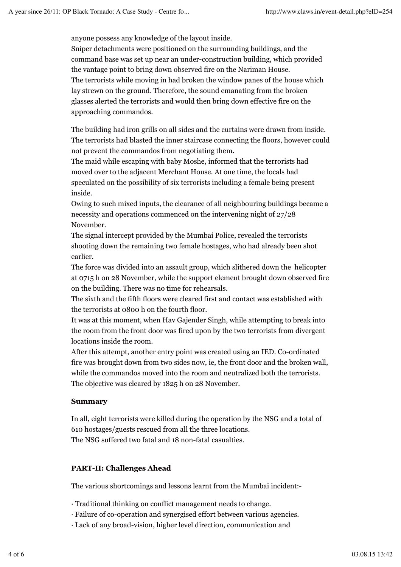anyone possess any knowledge of the layout inside.

Sniper detachments were positioned on the surrounding buildings, and the command base was set up near an under-construction building, which provided the vantage point to bring down observed fire on the Nariman House. The terrorists while moving in had broken the window panes of the house which lay strewn on the ground. Therefore, the sound emanating from the broken glasses alerted the terrorists and would then bring down effective fire on the approaching commandos.

The building had iron grills on all sides and the curtains were drawn from inside. The terrorists had blasted the inner staircase connecting the floors, however could not prevent the commandos from negotiating them.

The maid while escaping with baby Moshe, informed that the terrorists had moved over to the adjacent Merchant House. At one time, the locals had speculated on the possibility of six terrorists including a female being present inside.

Owing to such mixed inputs, the clearance of all neighbouring buildings became a necessity and operations commenced on the intervening night of 27/28 November.

The signal intercept provided by the Mumbai Police, revealed the terrorists shooting down the remaining two female hostages, who had already been shot earlier.

The force was divided into an assault group, which slithered down the helicopter at 0715 h on 28 November, while the support element brought down observed fire on the building. There was no time for rehearsals.

The sixth and the fifth floors were cleared first and contact was established with the terrorists at 0800 h on the fourth floor.

It was at this moment, when Hav Gajender Singh, while attempting to break into the room from the front door was fired upon by the two terrorists from divergent locations inside the room.

After this attempt, another entry point was created using an IED. Co-ordinated fire was brought down from two sides now, ie, the front door and the broken wall, while the commandos moved into the room and neutralized both the terrorists. The objective was cleared by 1825 h on 28 November.

#### **Summary**

In all, eight terrorists were killed during the operation by the NSG and a total of 610 hostages/guests rescued from all the three locations. The NSG suffered two fatal and 18 non-fatal casualties.

## **PART-II: Challenges Ahead**

The various shortcomings and lessons learnt from the Mumbai incident:-

· Traditional thinking on conflict management needs to change.

- · Failure of co-operation and synergised effort between various agencies.
- · Lack of any broad-vision, higher level direction, communication and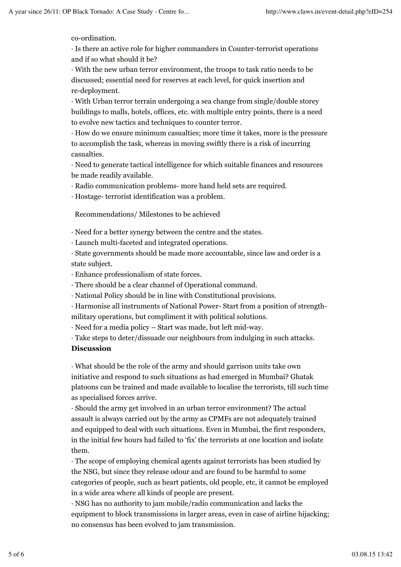co-ordination.

· Is there an active role for higher commanders in Counter-terrorist operations and if so what should it be?

· With the new urban terror environment, the troops to task ratio needs to be discussed; essential need for reserves at each level, for quick insertion and re-deployment.

· With Urban terror terrain undergoing a sea change from single/double storey buildings to malls, hotels, offices, etc. with multiple entry points, there is a need to evolve new tactics and techniques to counter terror.

· How do we ensure minimum casualties; more time it takes, more is the pressure to accomplish the task, whereas in moving swiftly there is a risk of incurring casualties.

· Need to generate tactical intelligence for which suitable finances and resources be made readily available.

· Radio communication problems- more hand held sets are required.

· Hostage- terrorist identification was a problem.

Recommendations/ Milestones to be achieved

· Need for a better synergy between the centre and the states.

· Launch multi-faceted and integrated operations.

· State governments should be made more accountable, since law and order is a state subject.

· Enhance professionalism of state forces.

· There should be a clear channel of Operational command.

· National Policy should be in line with Constitutional provisions.

· Harmonise all instruments of National Power- Start from a position of strengthmilitary operations, but compliment it with political solutions.

· Need for a media policy – Start was made, but left mid-way.

· Take steps to deter/dissuade our neighbours from indulging in such attacks.

#### **Discussion**

· What should be the role of the army and should garrison units take own initiative and respond to such situations as had emerged in Mumbai? Ghatak platoons can be trained and made available to localise the terrorists, till such time as specialised forces arrive.

· Should the army get involved in an urban terror environment? The actual assault is always carried out by the army as CPMFs are not adequately trained and equipped to deal with such situations. Even in Mumbai, the first responders, in the initial few hours had failed to 'fix' the terrorists at one location and isolate them.

· The scope of employing chemical agents against terrorists has been studied by the NSG, but since they release odour and are found to be harmful to some categories of people, such as heart patients, old people, etc, it cannot be employed in a wide area where all kinds of people are present.

· NSG has no authority to jam mobile/radio communication and lacks the equipment to block transmissions in larger areas, even in case of airline hijacking; no consensus has been evolved to jam transmission.